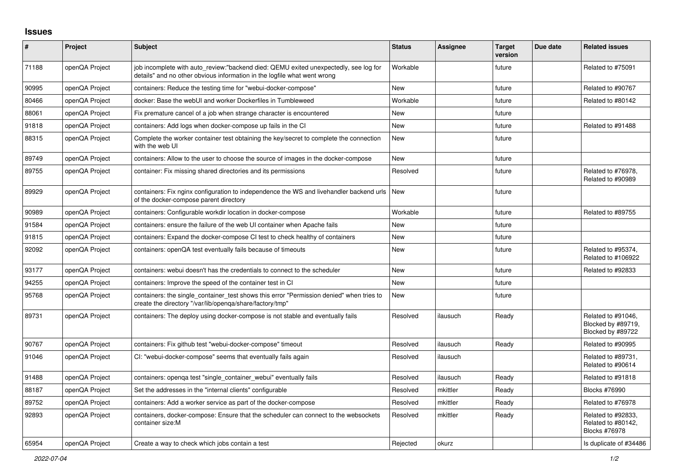## **Issues**

| $\sharp$ | Project        | <b>Subject</b>                                                                                                                                                   | <b>Status</b> | Assignee | <b>Target</b><br>version | Due date | <b>Related issues</b>                                         |
|----------|----------------|------------------------------------------------------------------------------------------------------------------------------------------------------------------|---------------|----------|--------------------------|----------|---------------------------------------------------------------|
| 71188    | openQA Project | job incomplete with auto_review:"backend died: QEMU exited unexpectedly, see log for<br>details" and no other obvious information in the logfile what went wrong | Workable      |          | future                   |          | Related to #75091                                             |
| 90995    | openQA Project | containers: Reduce the testing time for "webui-docker-compose"                                                                                                   | <b>New</b>    |          | future                   |          | Related to #90767                                             |
| 80466    | openQA Project | docker: Base the webUI and worker Dockerfiles in Tumbleweed                                                                                                      | Workable      |          | future                   |          | Related to #80142                                             |
| 88061    | openQA Project | Fix premature cancel of a job when strange character is encountered                                                                                              | New           |          | future                   |          |                                                               |
| 91818    | openQA Project | containers: Add logs when docker-compose up fails in the CI                                                                                                      | New           |          | future                   |          | Related to #91488                                             |
| 88315    | openQA Project | Complete the worker container test obtaining the key/secret to complete the connection<br>with the web UI                                                        | New           |          | future                   |          |                                                               |
| 89749    | openQA Project | containers: Allow to the user to choose the source of images in the docker-compose                                                                               | <b>New</b>    |          | future                   |          |                                                               |
| 89755    | openQA Project | container: Fix missing shared directories and its permissions                                                                                                    | Resolved      |          | future                   |          | Related to #76978,<br>Related to #90989                       |
| 89929    | openQA Project | containers: Fix nginx configuration to independence the WS and livehandler backend urls<br>of the docker-compose parent directory                                | <b>New</b>    |          | future                   |          |                                                               |
| 90989    | openQA Project | containers: Configurable workdir location in docker-compose                                                                                                      | Workable      |          | future                   |          | Related to #89755                                             |
| 91584    | openQA Project | containers: ensure the failure of the web UI container when Apache fails                                                                                         | New           |          | future                   |          |                                                               |
| 91815    | openQA Project | containers: Expand the docker-compose CI test to check healthy of containers                                                                                     | New           |          | future                   |          |                                                               |
| 92092    | openQA Project | containers: openQA test eventually fails because of timeouts                                                                                                     | <b>New</b>    |          | future                   |          | Related to #95374,<br>Related to #106922                      |
| 93177    | openQA Project | containers: webui doesn't has the credentials to connect to the scheduler                                                                                        | <b>New</b>    |          | future                   |          | Related to #92833                                             |
| 94255    | openQA Project | containers: Improve the speed of the container test in CI                                                                                                        | <b>New</b>    |          | future                   |          |                                                               |
| 95768    | openQA Project | containers: the single container test shows this error "Permission denied" when tries to<br>create the directory "/var/lib/openga/share/factory/tmp"             | New           |          | future                   |          |                                                               |
| 89731    | openQA Project | containers: The deploy using docker-compose is not stable and eventually fails                                                                                   | Resolved      | ilausuch | Ready                    |          | Related to #91046,<br>Blocked by #89719,<br>Blocked by #89722 |
| 90767    | openQA Project | containers: Fix github test "webui-docker-compose" timeout                                                                                                       | Resolved      | ilausuch | Ready                    |          | Related to #90995                                             |
| 91046    | openQA Project | CI: "webui-docker-compose" seems that eventually fails again                                                                                                     | Resolved      | ilausuch |                          |          | Related to #89731,<br>Related to #90614                       |
| 91488    | openQA Project | containers: openga test "single_container_webui" eventually fails                                                                                                | Resolved      | ilausuch | Ready                    |          | Related to #91818                                             |
| 88187    | openQA Project | Set the addresses in the "internal clients" configurable                                                                                                         | Resolved      | mkittler | Ready                    |          | Blocks #76990                                                 |
| 89752    | openQA Project | containers: Add a worker service as part of the docker-compose                                                                                                   | Resolved      | mkittler | Ready                    |          | Related to #76978                                             |
| 92893    | openQA Project | containers, docker-compose: Ensure that the scheduler can connect to the websockets<br>container size:M                                                          | Resolved      | mkittler | Ready                    |          | Related to #92833,<br>Related to #80142,<br>Blocks #76978     |
| 65954    | openQA Project | Create a way to check which jobs contain a test                                                                                                                  | Rejected      | okurz    |                          |          | Is duplicate of #34486                                        |